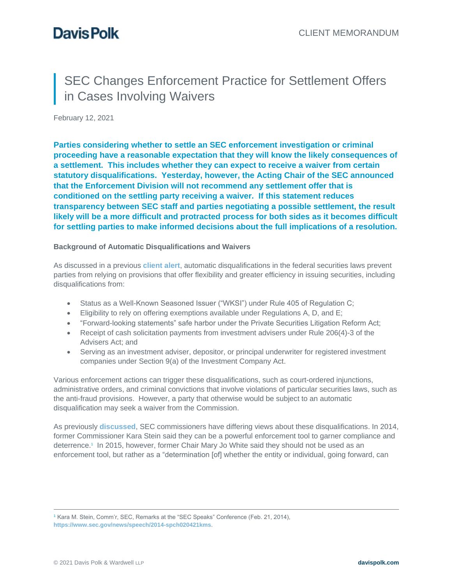# SEC Changes Enforcement Practice for Settlement Offers in Cases Involving Waivers

February 12, 2021

**Parties considering whether to settle an SEC enforcement investigation or criminal proceeding have a reasonable expectation that they will know the likely consequences of a settlement. This includes whether they can expect to receive a waiver from certain statutory disqualifications. Yesterday, however, the Acting Chair of the SEC announced that the Enforcement Division will not recommend any settlement offer that is conditioned on the settling party receiving a waiver. If this statement reduces transparency between SEC staff and parties negotiating a possible settlement, the result likely will be a more difficult and protracted process for both sides as it becomes difficult for settling parties to make informed decisions about the full implications of a resolution.**

### **Background of Automatic Disqualifications and Waivers**

As discussed in a previous **[client alert](https://www.davispolk.com/sites/default/files/2019-07-26_rep_waters_proposes_changes_to_sec_bad_actor_waiver_process.pdf)**, automatic disqualifications in the federal securities laws prevent parties from relying on provisions that offer flexibility and greater efficiency in issuing securities, including disqualifications from:

- Status as a Well-Known Seasoned Issuer ("WKSI") under Rule 405 of Regulation C;
- Eligibility to rely on offering exemptions available under Regulations A, D, and E;
- "Forward-looking statements" safe harbor under the Private Securities Litigation Reform Act;
- Receipt of cash solicitation payments from investment advisers under Rule 206(4)-3 of the Advisers Act; and
- Serving as an investment adviser, depositor, or principal underwriter for registered investment companies under Section 9(a) of the Investment Company Act.

Various enforcement actions can trigger these disqualifications, such as court-ordered injunctions, administrative orders, and criminal convictions that involve violations of particular securities laws, such as the anti-fraud provisions. However, a party that otherwise would be subject to an automatic disqualification may seek a waiver from the Commission.

As previously **[discussed](https://www.davispolk.com/sites/default/files/2019-07-18-chairman-jay-clayton-announces-change-in-sec-waiver-process.pdf)**, SEC commissioners have differing views about these disqualifications. In 2014, former Commissioner Kara Stein said they can be a powerful enforcement tool to garner compliance and deterrence.<sup>1</sup> In 2015, however, former Chair Mary Jo White said they should not be used as an enforcement tool, but rather as a "determination [of] whether the entity or individual, going forward, can

<sup>1</sup> Kara M. Stein, Comm'r, SEC, Remarks at the "SEC Speaks" Conference (Feb. 21, 2014), **<https://www.sec.gov/news/speech/2014-spch020421kms>**.

 $\overline{a}$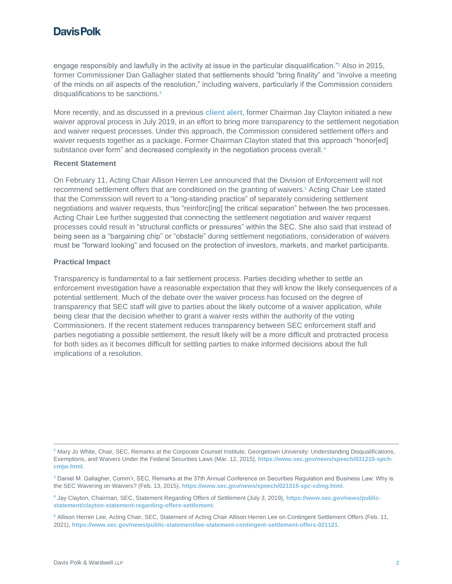### **Davis Polk**

engage responsibly and lawfully in the activity at issue in the particular disqualification."<sup>2</sup> Also in 2015, former Commissioner Dan Gallagher stated that settlements should "bring finality" and "involve a meeting of the minds on all aspects of the resolution," including waivers, particularly if the Commission considers disqualifications to be sanctions.<sup>3</sup>

More recently, and as discussed in a previous **[client alert](https://www.davispolk.com/sites/default/files/2019-07-18-chairman-jay-clayton-announces-change-in-sec-waiver-process.pdf)**, former Chairman Jay Clayton initiated a new waiver approval process in July 2019, in an effort to bring more transparency to the settlement negotiation and waiver request processes. Under this approach, the Commission considered settlement offers and waiver requests together as a package. Former Chairman Clayton stated that this approach "honor[ed] substance over form" and decreased complexity in the negotiation process overall.<sup>4</sup>

#### **Recent Statement**

On February 11, Acting Chair Allison Herren Lee announced that the Division of Enforcement will not recommend settlement offers that are conditioned on the granting of waivers. <sup>5</sup> Acting Chair Lee stated that the Commission will revert to a "long-standing practice" of separately considering settlement negotiations and waiver requests, thus "reinforc[ing] the critical separation" between the two processes. Acting Chair Lee further suggested that connecting the settlement negotiation and waiver request processes could result in "structural conflicts or pressures" within the SEC. She also said that instead of being seen as a "bargaining chip" or "obstacle" during settlement negotiations, consideration of waivers must be "forward looking" and focused on the protection of investors, markets, and market participants.

#### **Practical Impact**

Transparency is fundamental to a fair settlement process. Parties deciding whether to settle an enforcement investigation have a reasonable expectation that they will know the likely consequences of a potential settlement. Much of the debate over the waiver process has focused on the degree of transparency that SEC staff will give to parties about the likely outcome of a waiver application, while being clear that the decision whether to grant a waiver rests within the authority of the voting Commissioners. If the recent statement reduces transparency between SEC enforcement staff and parties negotiating a possible settlement, the result likely will be a more difficult and protracted process for both sides as it becomes difficult for settling parties to make informed decisions about the full implications of a resolution.

 $\overline{a}$ 

<sup>&</sup>lt;sup>2</sup> Mary Jo White, Chair, SEC, Remarks at the Corporate Counsel Institute, Georgetown University: Understanding Disqualifications, Exemptions, and Waivers Under the Federal Securities Laws (Mar. 12, 2015), **[https://www.sec.gov/news/speech/031215-spch](https://www.sec.gov/news/speech/031215-spch-cmjw.html)[cmjw.html](https://www.sec.gov/news/speech/031215-spch-cmjw.html)**.

<sup>&</sup>lt;sup>3</sup> Daniel M. Gallagher, Comm'r, SEC, Remarks at the 37th Annual Conference on Securities Regulation and Business Law: Why is the SEC Wavering on Waivers? (Feb. 13, 2015), **<https://www.sec.gov/news/speech/021315-spc-cdmg.html>**.

<sup>4</sup> Jay Clayton, Chairman, SEC, Statement Regarding Offers of Settlement (July 3, 2019), **[https://www.sec.gov/news/public](https://www.sec.gov/news/public-statement/clayton-statement-regarding-offers-settlement)[statement/clayton-statement-regarding-offers-settlement](https://www.sec.gov/news/public-statement/clayton-statement-regarding-offers-settlement)**.

<sup>5</sup> Allison Herren Lee, Acting Chair, SEC, Statement of Acting Chair Allison Herren Lee on Contingent Settlement Offers (Feb. 11, 2021), **<https://www.sec.gov/news/public-statement/lee-statement-contingent-settlement-offers-021121>**.